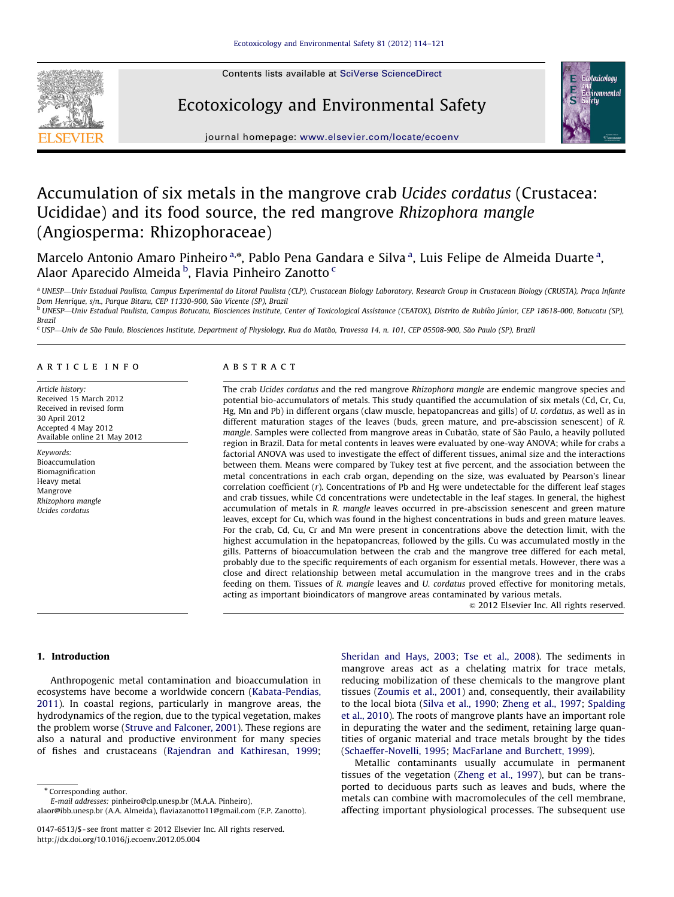Contents lists available at [SciVerse ScienceDirect](www.elsevier.com/locate/ecoenv)



# Ecotoxicology and Environmental Safety



journal homepage: <www.elsevier.com/locate/ecoenv>

# Accumulation of six metals in the mangrove crab Ucides cordatus (Crustacea: Ucididae) and its food source, the red mangrove Rhizophora mangle (Angiosperma: Rhizophoraceae)

Marcelo Antonio Amaro Pinheiro<sup>a,\*</sup>, Pablo Pena Gandara e Silva<sup>a</sup>, Luis Felipe de Almeida Duarte<sup>a</sup>, Alaor Aparecido Almeida <sup>b</sup>, Flavia Pinheiro Zanotto <sup>c</sup>

a UNESP—Univ Estadual Paulista, Campus Experimental do Litoral Paulista (CLP), Crustacean Biology Laboratory, Research Group in Crustacean Biology (CRUSTA), Praça Infante Dom Henrique, s/n., Parque Bitaru, CEP 11330-900, São Vicente (SP), Brazil

<sup>b</sup> UNESP—Univ Estadual Paulista, Campus Botucatu, Biosciences Institute, Center of Toxicological Assistance (CEATOX), Distrito de Rubião Júnior, CEP 18618-000, Botucatu (SP), Brazil

<sup>c</sup> USP—Univ de São Paulo, Biosciences Institute, Department of Physiology, Rua do Matão, Travessa 14, n. 101, CEP 05508-900, São Paulo (SP), Brazil

#### article info

Article history: Received 15 March 2012 Received in revised form 30 April 2012 Accepted 4 May 2012 Available online 21 May 2012

Keywords: Bioaccumulation Biomagnification Heavy metal Mangrove Rhizophora mangle Ucides cordatus

#### **ABSTRACT**

The crab Ucides cordatus and the red mangrove Rhizophora mangle are endemic mangrove species and potential bio-accumulators of metals. This study quantified the accumulation of six metals (Cd, Cr, Cu, Hg, Mn and Pb) in different organs (claw muscle, hepatopancreas and gills) of U. cordatus, as well as in different maturation stages of the leaves (buds, green mature, and pre-abscission senescent) of R. mangle. Samples were collected from mangrove areas in Cubatão, state of São Paulo, a heavily polluted region in Brazil. Data for metal contents in leaves were evaluated by one-way ANOVA; while for crabs a factorial ANOVA was used to investigate the effect of different tissues, animal size and the interactions between them. Means were compared by Tukey test at five percent, and the association between the metal concentrations in each crab organ, depending on the size, was evaluated by Pearson's linear correlation coefficient (r). Concentrations of Pb and Hg were undetectable for the different leaf stages and crab tissues, while Cd concentrations were undetectable in the leaf stages. In general, the highest accumulation of metals in R. mangle leaves occurred in pre-abscission senescent and green mature leaves, except for Cu, which was found in the highest concentrations in buds and green mature leaves. For the crab, Cd, Cu, Cr and Mn were present in concentrations above the detection limit, with the highest accumulation in the hepatopancreas, followed by the gills. Cu was accumulated mostly in the gills. Patterns of bioaccumulation between the crab and the mangrove tree differed for each metal, probably due to the specific requirements of each organism for essential metals. However, there was a close and direct relationship between metal accumulation in the mangrove trees and in the crabs feeding on them. Tissues of R. mangle leaves and U. cordatus proved effective for monitoring metals, acting as important bioindicators of mangrove areas contaminated by various metals.

 $@$  2012 Elsevier Inc. All rights reserved.

## 1. Introduction

Anthropogenic metal contamination and bioaccumulation in ecosystems have become a worldwide concern ([Kabata-Pendias,](#page-7-0) [2011\)](#page-7-0). In coastal regions, particularly in mangrove areas, the hydrodynamics of the region, due to the typical vegetation, makes the problem worse ([Struve and Falconer, 2001\)](#page-7-0). These regions are also a natural and productive environment for many species of fishes and crustaceans ([Rajendran and Kathiresan, 1999;](#page-7-0)

\* Corresponding author. E-mail addresses: [pinheiro@clp.unesp.br \(M.A.A. Pinheiro\)](mailto:pinheiro@clp.unesp.br), [alaor@ibb.unesp.br \(A.A. Almeida\),](mailto:alaor@ibb.unesp.br) [flaviazanotto11@gmail.com \(F.P. Zanotto\)](mailto:flaviazanotto11@gmail.com).

[http://dx.doi.org/10.1016/j.ecoenv.2012.05.004](dx.doi.org/10.1016/j.ecoenv.2012.05.004)

[Sheridan and Hays, 2003;](#page-7-0) [Tse et al., 2008\)](#page-7-0). The sediments in mangrove areas act as a chelating matrix for trace metals, reducing mobilization of these chemicals to the mangrove plant tissues ([Zoumis et al., 2001](#page-7-0)) and, consequently, their availability to the local biota [\(Silva et al., 1990](#page-7-0); [Zheng et al., 1997;](#page-7-0) [Spalding](#page-7-0) [et al., 2010\)](#page-7-0). The roots of mangrove plants have an important role in depurating the water and the sediment, retaining large quantities of organic material and trace metals brought by the tides ([Schaeffer-Novelli, 1995](#page-7-0); [MacFarlane and Burchett, 1999\)](#page-7-0).

Metallic contaminants usually accumulate in permanent tissues of the vegetation ([Zheng et al., 1997\)](#page-7-0), but can be transported to deciduous parts such as leaves and buds, where the metals can combine with macromolecules of the cell membrane, affecting important physiological processes. The subsequent use

<sup>0147-6513/\$ -</sup> see front matter  $\circ$  2012 Elsevier Inc. All rights reserved.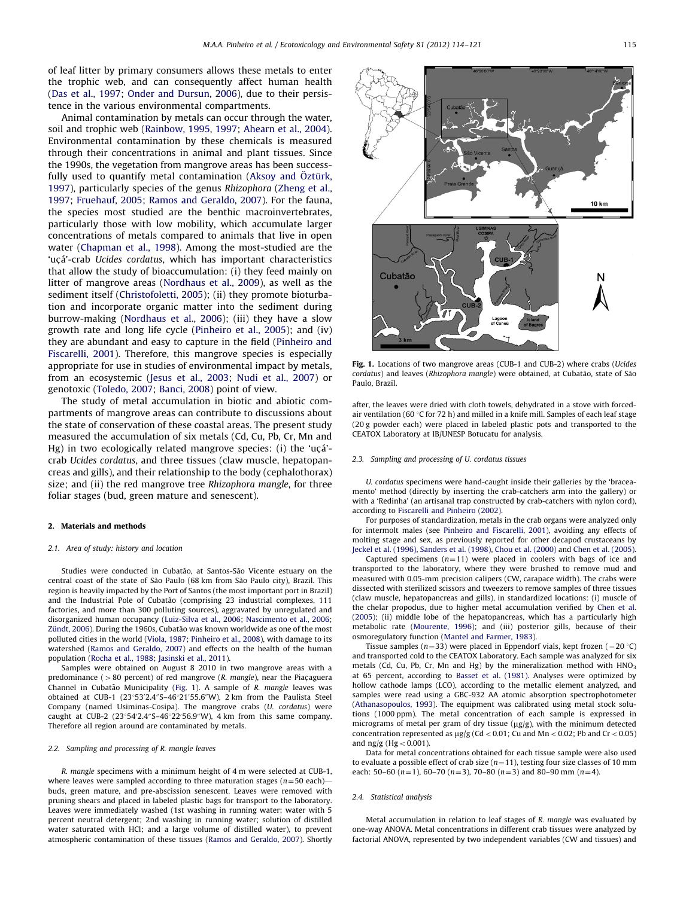of leaf litter by primary consumers allows these metals to enter the trophic web, and can consequently affect human health ([Das et al., 1997;](#page-6-0) [Onder and Dursun, 2006\)](#page-7-0), due to their persistence in the various environmental compartments.

Animal contamination by metals can occur through the water, soil and trophic web [\(Rainbow, 1995,](#page-7-0) [1997;](#page-7-0) [Ahearn et al., 2004\)](#page-6-0). Environmental contamination by these chemicals is measured through their concentrations in animal and plant tissues. Since the 1990s, the vegetation from mangrove areas has been successfully used to quantify metal contamination (Aksoy and Öztü[rk,](#page-6-0) [1997\)](#page-6-0), particularly species of the genus Rhizophora [\(Zheng et al.,](#page-7-0) [1997;](#page-7-0) [Fruehauf, 2005;](#page-6-0) [Ramos and Geraldo, 2007\)](#page-7-0). For the fauna, the species most studied are the benthic macroinvertebrates, particularly those with low mobility, which accumulate larger concentrations of metals compared to animals that live in open water [\(Chapman et al., 1998\)](#page-6-0). Among the most-studied are the 'ucá'-crab Ucides cordatus, which has important characteristics that allow the study of bioaccumulation: (i) they feed mainly on litter of mangrove areas ([Nordhaus et al., 2009\)](#page-7-0), as well as the sediment itself ([Christofoletti, 2005\)](#page-6-0); (ii) they promote bioturbation and incorporate organic matter into the sediment during burrow-making ([Nordhaus et al., 2006](#page-7-0)); (iii) they have a slow growth rate and long life cycle ([Pinheiro et al., 2005\)](#page-7-0); and (iv) they are abundant and easy to capture in the field [\(Pinheiro and](#page-7-0) [Fiscarelli, 2001\)](#page-7-0). Therefore, this mangrove species is especially appropriate for use in studies of environmental impact by metals, from an ecosystemic ([Jesus et al., 2003](#page-7-0); [Nudi et al., 2007](#page-7-0)) or genotoxic ([Toledo, 2007](#page-7-0); [Banci, 2008](#page-6-0)) point of view.

The study of metal accumulation in biotic and abiotic compartments of mangrove areas can contribute to discussions about the state of conservation of these coastal areas. The present study measured the accumulation of six metals (Cd, Cu, Pb, Cr, Mn and  $Hg$ ) in two ecologically related mangrove species: (i) the 'uca'crab Ucides cordatus, and three tissues (claw muscle, hepatopancreas and gills), and their relationship to the body (cephalothorax) size; and (ii) the red mangrove tree Rhizophora mangle, for three foliar stages (bud, green mature and senescent).

## 2. Materials and methods

#### 2.1. Area of study: history and location

Studies were conducted in Cubatão, at Santos-São Vicente estuary on the central coast of the state of São Paulo (68 km from São Paulo city), Brazil. This region is heavily impacted by the Port of Santos (the most important port in Brazil) and the Industrial Pole of Cubatão (comprising 23 industrial complexes, 111 factories, and more than 300 polluting sources), aggravated by unregulated and disorganized human occupancy ([Luiz-Silva et al., 2006;](#page-7-0) [Nascimento et al., 2006](#page-7-0); Zündt, 2006). During the 1960s, Cubatão was known worldwide as one of the most polluted cities in the world [\(Viola, 1987;](#page-7-0) [Pinheiro et al., 2008](#page-7-0)), with damage to its watershed [\(Ramos and Geraldo, 2007\)](#page-7-0) and effects on the health of the human population ([Rocha et al., 1988;](#page-7-0) [Jasinski et al., 2011\)](#page-7-0).

Samples were obtained on August 8 2010 in two mangrove areas with a predominance ( $>80$  percent) of red mangrove (R. mangle), near the Piaçaguera Channel in Cubatão Municipality (Fig. 1). A sample of R. mangle leaves was obtained at CUB-1  $(23°53'2.4"S-46°21'55.6"W)$ , 2 km from the Paulista Steel Company (named Usiminas-Cosipa). The mangrove crabs (U. cordatus) were caught at CUB-2  $(23^{\circ}54'2.4''S-46^{\circ}22'56.9''W)$ , 4 km from this same company. Therefore all region around are contaminated by metals.

#### 2.2. Sampling and processing of R. mangle leaves

R. mangle specimens with a minimum height of 4 m were selected at CUB-1, where leaves were sampled according to three maturation stages ( $n=50$  each) buds, green mature, and pre-abscission senescent. Leaves were removed with pruning shears and placed in labeled plastic bags for transport to the laboratory. Leaves were immediately washed (1st washing in running water; water with 5 percent neutral detergent; 2nd washing in running water; solution of distilled water saturated with HCl; and a large volume of distilled water), to prevent atmospheric contamination of these tissues [\(Ramos and Geraldo, 2007\)](#page-7-0). Shortly



Fig. 1. Locations of two mangrove areas (CUB-1 and CUB-2) where crabs (Ucides cordatus) and leaves (Rhizophora mangle) were obtained, at Cubatão, state of São Paulo, Brazil.

after, the leaves were dried with cloth towels, dehydrated in a stove with forcedair ventilation (60  $\degree$ C for 72 h) and milled in a knife mill. Samples of each leaf stage (20 g powder each) were placed in labeled plastic pots and transported to the CEATOX Laboratory at IB/UNESP Botucatu for analysis.

#### 2.3. Sampling and processing of U. cordatus tissues

U. cordatus specimens were hand-caught inside their galleries by the 'braceamento' method (directly by inserting the crab-catcher's arm into the gallery) or with a 'Redinha' (an artisanal trap constructed by crab-catchers with nylon cord), according to [Fiscarelli and Pinheiro \(2002\).](#page-6-0)

For purposes of standardization, metals in the crab organs were analyzed only for intermolt males (see [Pinheiro and Fiscarelli, 2001\)](#page-7-0), avoiding any effects of molting stage and sex, as previously reported for other decapod crustaceans by [Jeckel et al. \(1996\)](#page-7-0), [Sanders et al. \(1998\)](#page-7-0), [Chou et al. \(2000\)](#page-6-0) and [Chen et al. \(2005\).](#page-6-0)

Captured specimens  $(n=11)$  were placed in coolers with bags of ice and transported to the laboratory, where they were brushed to remove mud and measured with 0.05-mm precision calipers (CW, carapace width). The crabs were dissected with sterilized scissors and tweezers to remove samples of three tissues (claw muscle, hepatopancreas and gills), in standardized locations: (i) muscle of the chelar propodus, due to higher metal accumulation verified by [Chen et al.](#page-6-0) [\(2005\);](#page-6-0) (ii) middle lobe of the hepatopancreas, which has a particularly high metabolic rate [\(Mourente, 1996](#page-7-0)); and (iii) posterior gills, because of their osmoregulatory function [\(Mantel and Farmer, 1983\)](#page-7-0).

Tissue samples ( $n=33$ ) were placed in Eppendorf vials, kept frozen ( $-20$  °C) and transported cold to the CEATOX Laboratory. Each sample was analyzed for six metals (Cd, Cu, Pb, Cr, Mn and Hg) by the mineralization method with HNO<sub>3</sub> at 65 percent, according to [Basset et al. \(1981\)](#page-6-0). Analyses were optimized by hollow cathode lamps (LCO), according to the metallic element analyzed, and samples were read using a GBC-932 AA atomic absorption spectrophotometer [\(Athanasopoulos, 1993\)](#page-6-0). The equipment was calibrated using metal stock solutions (1000 ppm). The metal concentration of each sample is expressed in micrograms of metal per gram of dry tissue  $\left(\frac{\mu g}{g}\right)$ , with the minimum detected concentration represented as  $\mu$ g/g (Cd < 0.01; Cu and Mn < 0.02; Pb and Cr < 0.05) and  $ng/g$  (Hg  $< 0.001$ ).

Data for metal concentrations obtained for each tissue sample were also used to evaluate a possible effect of crab size  $(n=11)$ , testing four size classes of 10 mm each: 50–60 ( $n=1$ ), 60–70 ( $n=3$ ), 70–80 ( $n=3$ ) and 80–90 mm ( $n=4$ ).

#### 2.4. Statistical analysis

Metal accumulation in relation to leaf stages of R. mangle was evaluated by one-way ANOVA. Metal concentrations in different crab tissues were analyzed by factorial ANOVA, represented by two independent variables (CW and tissues) and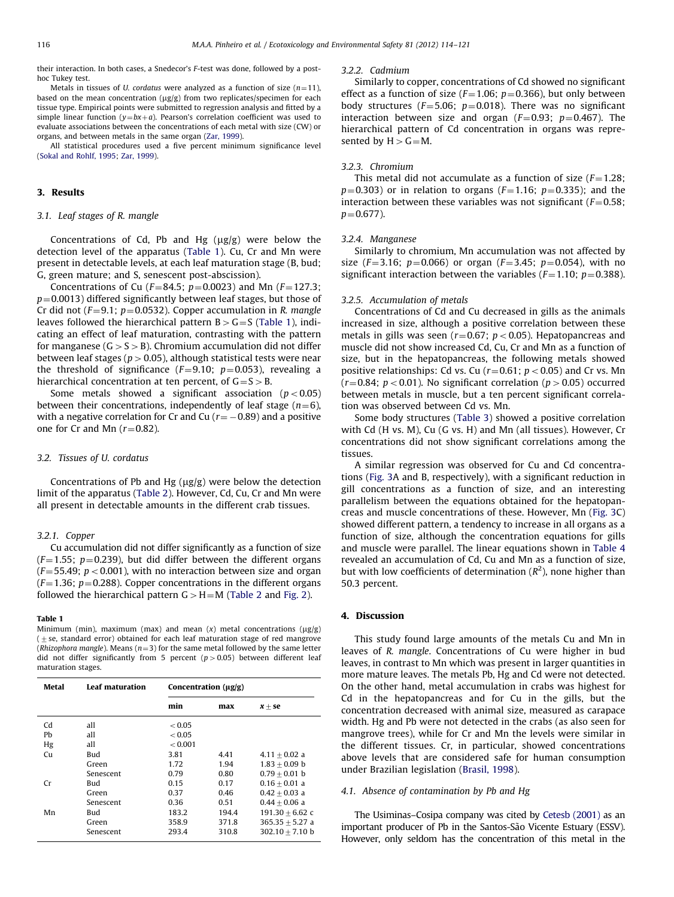their interaction. In both cases, a Snedecor's F-test was done, followed by a posthoc Tukey test.

Metals in tissues of U. cordatus were analyzed as a function of size  $(n=11)$ , based on the mean concentration ( $\mu$ g/g) from two replicates/specimen for each tissue type. Empirical points were submitted to regression analysis and fitted by a simple linear function  $(v=bx+a)$ . Pearson's correlation coefficient was used to evaluate associations between the concentrations of each metal with size (CW) or organs, and between metals in the same organ ([Zar, 1999\)](#page-7-0).

All statistical procedures used a five percent minimum significance level [\(Sokal and Rohlf, 1995;](#page-7-0) [Zar, 1999](#page-7-0)).

## 3. Results

## 3.1. Leaf stages of R. mangle

Concentrations of Cd, Pb and Hg  $(\mu g/g)$  were below the detection level of the apparatus (Table 1). Cu, Cr and Mn were present in detectable levels, at each leaf maturation stage (B, bud; G, green mature; and S, senescent post-abscission).

Concentrations of Cu ( $F=84.5$ ;  $p=0.0023$ ) and Mn ( $F=127.3$ ;  $p=0.0013$ ) differed significantly between leaf stages, but those of Cr did not ( $F=9.1$ ;  $p=0.0532$ ). Copper accumulation in R. mangle leaves followed the hierarchical pattern  $B > G = S$  (Table 1), indicating an effect of leaf maturation, contrasting with the pattern for manganese ( $G > S > B$ ). Chromium accumulation did not differ between leaf stages ( $p > 0.05$ ), although statistical tests were near the threshold of significance ( $F=9.10$ ;  $p=0.053$ ), revealing a hierarchical concentration at ten percent, of  $G = S > B$ .

Some metals showed a significant association ( $p < 0.05$ ) between their concentrations, independently of leaf stage  $(n=6)$ , with a negative correlation for Cr and Cu ( $r{=}-0.89$ ) and a positive one for Cr and Mn  $(r=0.82)$ .

## 3.2. Tissues of U. cordatus

Concentrations of Pb and Hg  $(\mu g/g)$  were below the detection limit of the apparatus ([Table 2\)](#page-3-0). However, Cd, Cu, Cr and Mn were all present in detectable amounts in the different crab tissues.

## 3.2.1. Copper

Cu accumulation did not differ significantly as a function of size  $(F=1.55; p=0.239)$ , but did differ between the different organs  $(F=55.49; p<0.001)$ , with no interaction between size and organ  $(F=1.36; p=0.288)$ . Copper concentrations in the different organs followed the hierarchical pattern  $G > H = M$  ([Table 2](#page-3-0) and [Fig. 2](#page-3-0)).

#### Table 1

Minimum (min), maximum (max) and mean  $(x)$  metal concentrations ( $\mu$ g/g)  $(1)$  se, standard error) obtained for each leaf maturation stage of red mangrove (Rhizophora mangle). Means ( $n=3$ ) for the same metal followed by the same letter did not differ significantly from 5 percent ( $p > 0.05$ ) between different leaf maturation stages.

| <b>Metal</b>   | <b>Leaf maturation</b> | Concentration $(\mu g/g)$ |       |                   |
|----------------|------------------------|---------------------------|-------|-------------------|
|                |                        | min                       | max   | $x + se$          |
| Cd             | all                    | < 0.05                    |       |                   |
| Pb             | all                    | < 0.05                    |       |                   |
| Hg             | all                    | < 0.001                   |       |                   |
| C <sub>U</sub> | Bud                    | 3.81                      | 4.41  | $4.11 + 0.02$ a   |
|                | Green                  | 1.72                      | 1.94  | $1.83 + 0.09$ b   |
|                | Senescent              | 0.79                      | 0.80  | $0.79 + 0.01$ b   |
| Cr             | Bud                    | 0.15                      | 0.17  | $0.16 + 0.01$ a   |
|                | Green                  | 0.37                      | 0.46  | $0.42 + 0.03$ a   |
|                | Senescent              | 0.36                      | 0.51  | $0.44 + 0.06$ a   |
| Mn             | Bud                    | 183.2                     | 194.4 | $191.30 + 6.62$ c |
|                | Green                  | 358.9                     | 371.8 | $365.35 + 5.27$ a |
|                | Senescent              | 293.4                     | 310.8 | $302.10 + 7.10$ b |

#### 3.2.2. Cadmium

Similarly to copper, concentrations of Cd showed no significant effect as a function of size ( $F=1.06$ ;  $p=0.366$ ), but only between body structures ( $F=5.06$ ;  $p=0.018$ ). There was no significant interaction between size and organ ( $F=0.93$ ;  $p=0.467$ ). The hierarchical pattern of Cd concentration in organs was represented by  $H > G = M$ .

## 3.2.3. Chromium

This metal did not accumulate as a function of size  $(F=1.28;$  $p=0.303$ ) or in relation to organs ( $F=1.16$ ;  $p=0.335$ ); and the interaction between these variables was not significant ( $F=0.58$ ;  $p = 0.677$ ).

#### 3.2.4. Manganese

Similarly to chromium, Mn accumulation was not affected by size ( $F = 3.16$ ;  $p = 0.066$ ) or organ ( $F = 3.45$ ;  $p = 0.054$ ), with no significant interaction between the variables ( $F=1.10$ ;  $p=0.388$ ).

## 3.2.5. Accumulation of metals

Concentrations of Cd and Cu decreased in gills as the animals increased in size, although a positive correlation between these metals in gills was seen ( $r=0.67$ ;  $p<0.05$ ). Hepatopancreas and muscle did not show increased Cd, Cu, Cr and Mn as a function of size, but in the hepatopancreas, the following metals showed positive relationships: Cd vs. Cu ( $r=0.61$ ;  $p<0.05$ ) and Cr vs. Mn  $(r=0.84; p<0.01)$ . No significant correlation ( $p>0.05$ ) occurred between metals in muscle, but a ten percent significant correlation was observed between Cd vs. Mn.

Some body structures ([Table 3](#page-3-0)) showed a positive correlation with Cd (H vs. M), Cu (G vs. H) and Mn (all tissues). However, Cr concentrations did not show significant correlations among the tissues.

A similar regression was observed for Cu and Cd concentrations [\(Fig. 3](#page-4-0)A and B, respectively), with a significant reduction in gill concentrations as a function of size, and an interesting parallelism between the equations obtained for the hepatopancreas and muscle concentrations of these. However, Mn ([Fig. 3C](#page-4-0)) showed different pattern, a tendency to increase in all organs as a function of size, although the concentration equations for gills and muscle were parallel. The linear equations shown in [Table 4](#page-4-0) revealed an accumulation of Cd, Cu and Mn as a function of size, but with low coefficients of determination  $(R^2)$ , none higher than 50.3 percent.

## 4. Discussion

This study found large amounts of the metals Cu and Mn in leaves of R. mangle. Concentrations of Cu were higher in bud leaves, in contrast to Mn which was present in larger quantities in more mature leaves. The metals Pb, Hg and Cd were not detected. On the other hand, metal accumulation in crabs was highest for Cd in the hepatopancreas and for Cu in the gills, but the concentration decreased with animal size, measured as carapace width. Hg and Pb were not detected in the crabs (as also seen for mangrove trees), while for Cr and Mn the levels were similar in the different tissues. Cr, in particular, showed concentrations above levels that are considered safe for human consumption under Brazilian legislation ([Brasil, 1998](#page-6-0)).

#### 4.1. Absence of contamination by Pb and Hg

The Usiminas–Cosipa company was cited by [Cetesb \(2001\)](#page-6-0) as an important producer of Pb in the Santos-São Vicente Estuary (ESSV). However, only seldom has the concentration of this metal in the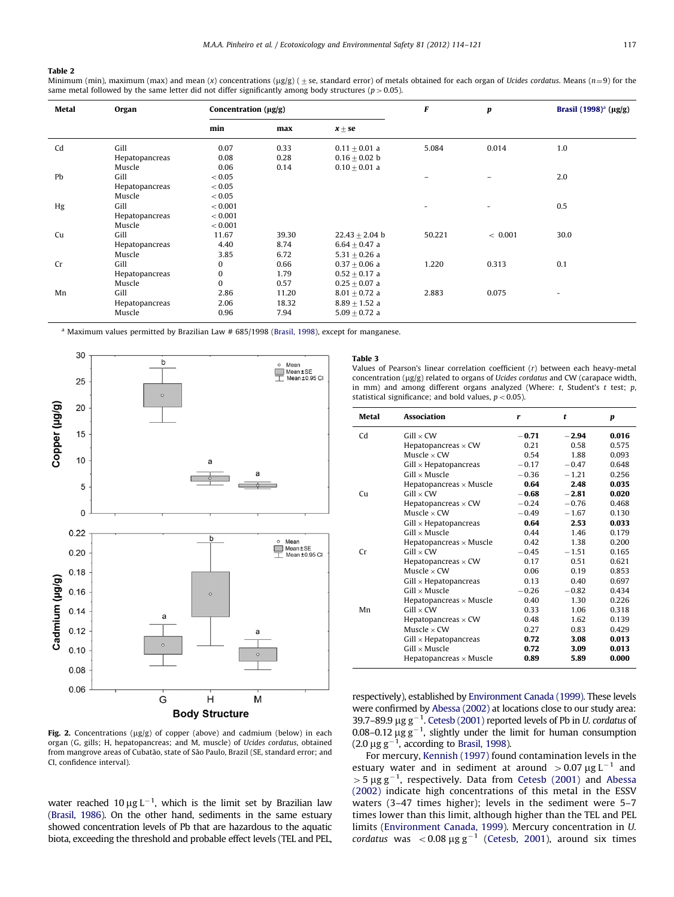## <span id="page-3-0"></span>Table 2

Minimum (min), maximum (max) and mean (x) concentrations ( $\mu$ g/g) ( $\pm$  se, standard error) of metals obtained for each organ of Ucides cordatus. Means (n=9) for the same metal followed by the same letter did not differ significantly among body structures ( $p > 0.05$ ).

| <b>Metal</b> | Organ          | Concentration $(\mu g/g)$ |       | F                 | p      | Brasil $(1998)^{a}$ (µg/g) |      |
|--------------|----------------|---------------------------|-------|-------------------|--------|----------------------------|------|
|              |                | min                       | max   | $x \pm s e$       |        |                            |      |
| Cd           | Gill           | 0.07                      | 0.33  | $0.11 + 0.01$ a   | 5.084  | 0.014                      | 1.0  |
|              | Hepatopancreas | 0.08                      | 0.28  | $0.16 + 0.02$ b   |        |                            |      |
|              | Muscle         | 0.06                      | 0.14  | $0.10 + 0.01$ a   |        |                            |      |
| Pb           | Gill           | < 0.05                    |       |                   | -      | -                          | 2.0  |
|              | Hepatopancreas | < 0.05                    |       |                   |        |                            |      |
|              | Muscle         | < 0.05                    |       |                   |        |                            |      |
| Hg           | Gill           | < 0.001                   |       |                   |        |                            | 0.5  |
|              | Hepatopancreas | < 0.001                   |       |                   |        |                            |      |
|              | Muscle         | < 0.001                   |       |                   |        |                            |      |
| Cu           | Gill           | 11.67                     | 39.30 | $22.43 + 2.04$ b  | 50.221 | < 0.001                    | 30.0 |
|              | Hepatopancreas | 4.40                      | 8.74  | $6.64 + 0.47$ a   |        |                            |      |
|              | Muscle         | 3.85                      | 6.72  | $5.31 + 0.26$ a   |        |                            |      |
| Cr           | Gill           | 0                         | 0.66  | $0.37 + 0.06$ a   | 1.220  | 0.313                      | 0.1  |
|              | Hepatopancreas | $\mathbf{0}$              | 1.79  | $0.52 + 0.17$ a   |        |                            |      |
|              | Muscle         | $\Omega$                  | 0.57  | $0.25 + 0.07$ a   |        |                            |      |
| Mn           | Gill           | 2.86                      | 11.20 | $8.01 \pm 0.72$ a | 2.883  | 0.075                      |      |
|              | Hepatopancreas | 2.06                      | 18.32 | $8.89 + 1.52$ a   |        |                            |      |
|              | Muscle         | 0.96                      | 7.94  | $5.09 + 0.72$ a   |        |                            |      |

<sup>a</sup> Maximum values permitted by Brazilian Law # 685/1998 [\(Brasil, 1998\)](#page-6-0), except for manganese.



#### Fig. 2. Concentrations ( $\mu$ g/g) of copper (above) and cadmium (below) in each organ (G, gills; H, hepatopancreas; and M, muscle) of Ucides cordatus, obtained from mangrove areas of Cubatão, state of São Paulo, Brazil (SE, standard error; and CI, confidence interval).

water reached 10  $\mu$ g L<sup>-1</sup>, which is the limit set by Brazilian law [\(Brasil, 1986](#page-6-0)). On the other hand, sediments in the same estuary showed concentration levels of Pb that are hazardous to the aquatic biota, exceeding the threshold and probable effect levels (TEL and PEL,

## Table 3

Values of Pearson's linear correlation coefficient (r) between each heavy-metal concentration ( $\mu$ g/g) related to organs of Ucides cordatus and CW (carapace width, in mm) and among different organs analyzed (Where:  $t$ , Student's  $t$  test;  $p$ , statistical significance; and bold values,  $p < 0.05$ ).

| Metal | <b>Association</b>             | r       | t       | p     |
|-------|--------------------------------|---------|---------|-------|
| Cd    | $Gill \times CW$               | $-0.71$ | $-2.94$ | 0.016 |
|       | Hepatopancreas $\times$ CW     | 0.21    | 0.58    | 0.575 |
|       | Muscle $\times$ CW             | 0.54    | 1.88    | 0.093 |
|       | $Gill \times Hepatopanceas$    | $-0.17$ | $-0.47$ | 0.648 |
|       | $Gill \times Musicle$          | $-0.36$ | $-1.21$ | 0.256 |
|       | Hepatopancreas $\times$ Muscle | 0.64    | 2.48    | 0.035 |
| Cu    | $Gill \times CW$               | $-0.68$ | $-2.81$ | 0.020 |
|       | Hepatopancreas $\times$ CW     | $-0.24$ | $-0.76$ | 0.468 |
|       | Muscle $\times$ CW             | $-0.49$ | $-1.67$ | 0.130 |
|       | $Gill \times Hepatopanceas$    | 0.64    | 2.53    | 0.033 |
|       | $Gill \times$ Muscle           | 0.44    | 1.46    | 0.179 |
|       | Hepatopancreas $\times$ Muscle | 0.42    | 1.38    | 0.200 |
| Сr    | $Gill \times CW$               | $-0.45$ | $-1.51$ | 0.165 |
|       | Hepatopancreas $\times$ CW     | 0.17    | 0.51    | 0.621 |
|       | Muscle $\times$ CW             | 0.06    | 0.19    | 0.853 |
|       | $Gill \times Hepatopanceas$    | 0.13    | 0.40    | 0.697 |
|       | $Gill \times$ Muscle           | $-0.26$ | $-0.82$ | 0.434 |
|       | Hepatopancreas $\times$ Muscle | 0.40    | 1.30    | 0.226 |
| Mn    | $Gill \times CW$               | 0.33    | 1.06    | 0.318 |
|       | Hepatopancreas $\times$ CW     | 0.48    | 1.62    | 0.139 |
|       | Muscle $\times$ CW             | 0.27    | 0.83    | 0.429 |
|       | $Gill \times Hepatopanceas$    | 0.72    | 3.08    | 0.013 |
|       | $Gill \times Musicle$          | 0.72    | 3.09    | 0.013 |
|       | Hepatopancreas $\times$ Muscle | 0.89    | 5.89    | 0.000 |

respectively), established by [Environment Canada \(1999\).](#page-6-0) These levels were confirmed by [Abessa \(2002\)](#page-6-0) at locations close to our study area: 39.7-89.9  $\mu$ g g<sup>-1</sup>. [Cetesb \(2001\)](#page-6-0) reported levels of Pb in U. cordatus of 0.08–0.12  $\mu$ g g<sup>-1</sup>, slightly under the limit for human consumption (2.0  $\mu$ g g<sup>-1</sup>, according to [Brasil, 1998\)](#page-6-0).

For mercury, [Kennish \(1997\)](#page-7-0) found contamination levels in the estuary water and in sediment at around  $>$  0.07  $\mu$ g L<sup>-1</sup> and  $>$  5 µg g<sup>-1</sup>, respectively. Data from [Cetesb \(2001\)](#page-6-0) and [Abessa](#page-6-0) [\(2002\)](#page-6-0) indicate high concentrations of this metal in the ESSV waters (3–47 times higher); levels in the sediment were 5–7 times lower than this limit, although higher than the TEL and PEL limits ([Environment Canada, 1999\)](#page-6-0). Mercury concentration in U. cordatus was  $\langle 0.08 \mu g g^{-1} \rangle$  [\(Cetesb, 2001\)](#page-6-0), around six times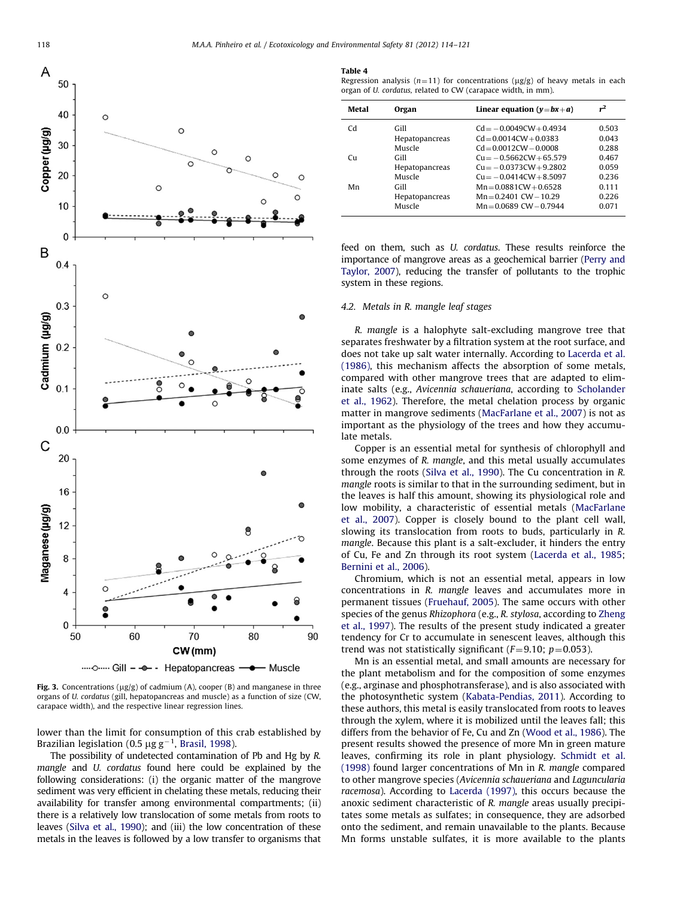<span id="page-4-0"></span>

Fig. 3. Concentrations ( $\mu$ g/g) of cadmium (A), cooper (B) and manganese in three organs of U. cordatus (gill, hepatopancreas and muscle) as a function of size (CW, carapace width), and the respective linear regression lines.

lower than the limit for consumption of this crab established by Brazilian legislation (0.5  $\mu$ g g $^{-1}$ , [Brasil, 1998](#page-6-0)).

The possibility of undetected contamination of Pb and Hg by R. mangle and U. cordatus found here could be explained by the following considerations: (i) the organic matter of the mangrove sediment was very efficient in chelating these metals, reducing their availability for transfer among environmental compartments; (ii) there is a relatively low translocation of some metals from roots to leaves ([Silva et al., 1990\)](#page-7-0); and (iii) the low concentration of these metals in the leaves is followed by a low transfer to organisms that

#### Table 4

Regression analysis ( $n=11$ ) for concentrations ( $\mu$ g/g) of heavy metals in each organ of U. cordatus, related to CW (carapace width, in mm).

| Metal    | Organ          | Linear equation $(y=bx+a)$  |       |
|----------|----------------|-----------------------------|-------|
| Cd       | Gill           | $Cd = -0.0049CW + 0.4934$   | 0.503 |
|          | Hepatopancreas | $Cd = 0.0014CW + 0.0383$    | 0.043 |
|          | Muscle         | $Cd = 0.0012CW - 0.0008$    | 0.288 |
| $\Gamma$ | Gill           | $Cu = -0.5662CW + 65.579$   | 0.467 |
|          | Hepatopancreas | $Cu = -0.0373CW + 9.2802$   | 0.059 |
|          | Muscle         | $Cu = -0.0414CW + 8.5097$   | 0.236 |
| Mn       | Gill           | $Mn = 0.0881CW + 0.6528$    | 0.111 |
|          | Hepatopancreas | $Mn = 0.2401$ CW $- 10.29$  | 0.226 |
|          | Muscle         | $Mn = 0.0689$ CW $- 0.7944$ | 0.071 |
|          |                |                             |       |

feed on them, such as U. cordatus. These results reinforce the importance of mangrove areas as a geochemical barrier [\(Perry and](#page-7-0) [Taylor, 2007](#page-7-0)), reducing the transfer of pollutants to the trophic system in these regions.

## 4.2. Metals in R. mangle leaf stages

R. mangle is a halophyte salt-excluding mangrove tree that separates freshwater by a filtration system at the root surface, and does not take up salt water internally. According to [Lacerda et al.](#page-7-0) [\(1986\)](#page-7-0), this mechanism affects the absorption of some metals, compared with other mangrove trees that are adapted to eliminate salts (e.g., Avicennia schaueriana, according to [Scholander](#page-7-0) [et al., 1962\)](#page-7-0). Therefore, the metal chelation process by organic matter in mangrove sediments ([MacFarlane et al., 2007\)](#page-7-0) is not as important as the physiology of the trees and how they accumulate metals.

Copper is an essential metal for synthesis of chlorophyll and some enzymes of R. mangle, and this metal usually accumulates through the roots ([Silva et al., 1990](#page-7-0)). The Cu concentration in R. mangle roots is similar to that in the surrounding sediment, but in the leaves is half this amount, showing its physiological role and low mobility, a characteristic of essential metals ([MacFarlane](#page-7-0) [et al., 2007\)](#page-7-0). Copper is closely bound to the plant cell wall, slowing its translocation from roots to buds, particularly in R. mangle. Because this plant is a salt-excluder, it hinders the entry of Cu, Fe and Zn through its root system [\(Lacerda et al., 1985;](#page-7-0) [Bernini et al., 2006\)](#page-6-0).

Chromium, which is not an essential metal, appears in low concentrations in R. mangle leaves and accumulates more in permanent tissues ([Fruehauf, 2005\)](#page-6-0). The same occurs with other species of the genus Rhizophora (e.g., R. stylosa, according to [Zheng](#page-7-0) [et al., 1997\)](#page-7-0). The results of the present study indicated a greater tendency for Cr to accumulate in senescent leaves, although this trend was not statistically significant ( $F=9.10$ ;  $p=0.053$ ).

Mn is an essential metal, and small amounts are necessary for the plant metabolism and for the composition of some enzymes (e.g., arginase and phosphotransferase), and is also associated with the photosynthetic system ([Kabata-Pendias, 2011\)](#page-7-0). According to these authors, this metal is easily translocated from roots to leaves through the xylem, where it is mobilized until the leaves fall; this differs from the behavior of Fe, Cu and Zn ([Wood et al., 1986\)](#page-7-0). The present results showed the presence of more Mn in green mature leaves, confirming its role in plant physiology. [Schmidt et al.](#page-7-0) [\(1998\)](#page-7-0) found larger concentrations of Mn in R. mangle compared to other mangrove species (Avicennia schaueriana and Laguncularia racemosa). According to [Lacerda \(1997\)](#page-7-0), this occurs because the anoxic sediment characteristic of R. mangle areas usually precipitates some metals as sulfates; in consequence, they are adsorbed onto the sediment, and remain unavailable to the plants. Because Mn forms unstable sulfates, it is more available to the plants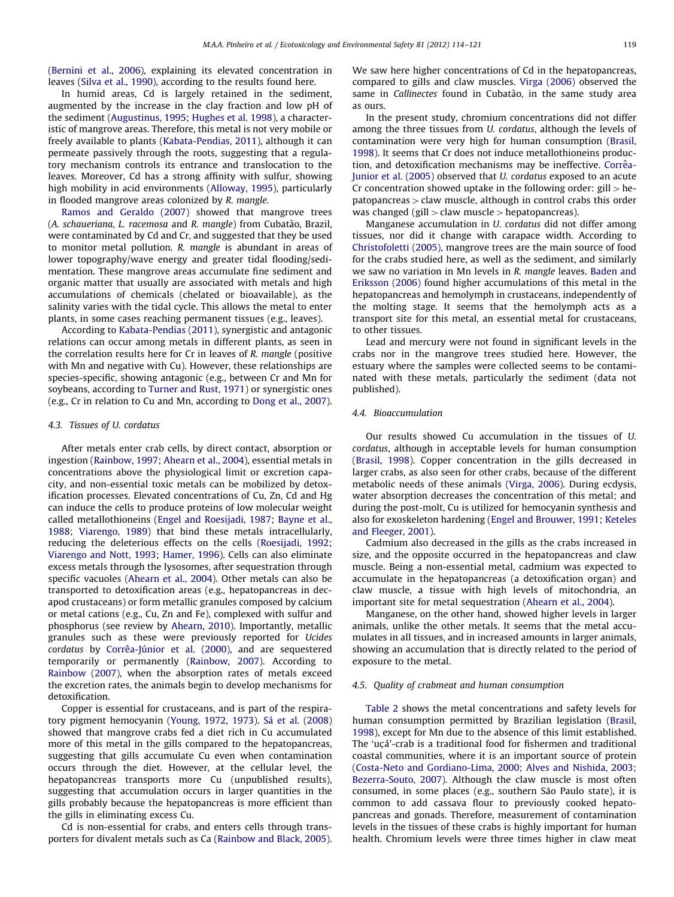([Bernini et al., 2006](#page-6-0)), explaining its elevated concentration in leaves ([Silva et al., 1990\)](#page-7-0), according to the results found here.

In humid areas, Cd is largely retained in the sediment, augmented by the increase in the clay fraction and low pH of the sediment [\(Augustinus, 1995;](#page-6-0) [Hughes et al. 1998\)](#page-6-0), a characteristic of mangrove areas. Therefore, this metal is not very mobile or freely available to plants [\(Kabata-Pendias, 2011](#page-7-0)), although it can permeate passively through the roots, suggesting that a regulatory mechanism controls its entrance and translocation to the leaves. Moreover, Cd has a strong affinity with sulfur, showing high mobility in acid environments [\(Alloway, 1995](#page-6-0)), particularly in flooded mangrove areas colonized by R. mangle.

[Ramos and Geraldo \(2007\)](#page-7-0) showed that mangrove trees (A. schaueriana, L. racemosa and R. mangle) from Cubatão, Brazil, were contaminated by Cd and Cr, and suggested that they be used to monitor metal pollution. R. mangle is abundant in areas of lower topography/wave energy and greater tidal flooding/sedimentation. These mangrove areas accumulate fine sediment and organic matter that usually are associated with metals and high accumulations of chemicals (chelated or bioavailable), as the salinity varies with the tidal cycle. This allows the metal to enter plants, in some cases reaching permanent tissues (e.g., leaves).

According to [Kabata-Pendias \(2011\),](#page-7-0) synergistic and antagonic relations can occur among metals in different plants, as seen in the correlation results here for Cr in leaves of R. mangle (positive with Mn and negative with Cu). However, these relationships are species-specific, showing antagonic (e.g., between Cr and Mn for soybeans, according to [Turner and Rust, 1971\)](#page-7-0) or synergistic ones (e.g., Cr in relation to Cu and Mn, according to [Dong et al., 2007\)](#page-6-0).

## 4.3. Tissues of U. cordatus

After metals enter crab cells, by direct contact, absorption or ingestion ([Rainbow, 1997;](#page-7-0) [Ahearn et al., 2004\)](#page-6-0), essential metals in concentrations above the physiological limit or excretion capacity, and non-essential toxic metals can be mobilized by detoxification processes. Elevated concentrations of Cu, Zn, Cd and Hg can induce the cells to produce proteins of low molecular weight called metallothioneins [\(Engel and Roesijadi, 1987;](#page-6-0) [Bayne et al.,](#page-6-0) [1988;](#page-6-0) [Viarengo, 1989](#page-7-0)) that bind these metals intracellularly, reducing the deleterious effects on the cells [\(Roesijadi, 1992;](#page-7-0) [Viarengo and Nott, 1993;](#page-7-0) [Hamer, 1996](#page-6-0)). Cells can also eliminate excess metals through the lysosomes, after sequestration through specific vacuoles [\(Ahearn et al., 2004\)](#page-6-0). Other metals can also be transported to detoxification areas (e.g., hepatopancreas in decapod crustaceans) or form metallic granules composed by calcium or metal cations (e.g., Cu, Zn and Fe), complexed with sulfur and phosphorus (see review by [Ahearn, 2010](#page-6-0)). Importantly, metallic granules such as these were previously reported for Ucides cordatus by Corrêa-Jú[nior et al. \(2000\)](#page-6-0), and are sequestered temporarily or permanently [\(Rainbow, 2007](#page-7-0)). According to [Rainbow \(2007\),](#page-7-0) when the absorption rates of metals exceed the excretion rates, the animals begin to develop mechanisms for detoxification.

Copper is essential for crustaceans, and is part of the respira-tory pigment hemocyanin ([Young, 1972,](#page-7-0) [1973](#page-7-0)). Sá [et al. \(2008\)](#page-7-0) showed that mangrove crabs fed a diet rich in Cu accumulated more of this metal in the gills compared to the hepatopancreas, suggesting that gills accumulate Cu even when contamination occurs through the diet. However, at the cellular level, the hepatopancreas transports more Cu (unpublished results), suggesting that accumulation occurs in larger quantities in the gills probably because the hepatopancreas is more efficient than the gills in eliminating excess Cu.

Cd is non-essential for crabs, and enters cells through transporters for divalent metals such as Ca [\(Rainbow and Black, 2005\)](#page-7-0). We saw here higher concentrations of Cd in the hepatopancreas, compared to gills and claw muscles. [Virga \(2006\)](#page-7-0) observed the same in Callinectes found in Cubatão, in the same study area as ours.

In the present study, chromium concentrations did not differ among the three tissues from U. cordatus, although the levels of contamination were very high for human consumption [\(Brasil,](#page-6-0) [1998\)](#page-6-0). It seems that Cr does not induce metallothioneins production, and detoxification mechanisms may be ineffective. Corrêa-[Junior et al. \(2005\)](#page-6-0) observed that U. cordatus exposed to an acute Cr concentration showed uptake in the following order: gill  $>$  he $p$ atopancreas  $>$  claw muscle, although in control crabs this order was changed (gill  $>$  claw muscle  $>$  hepatopancreas).

Manganese accumulation in U. cordatus did not differ among tissues, nor did it change with carapace width. According to [Christofoletti \(2005\),](#page-6-0) mangrove trees are the main source of food for the crabs studied here, as well as the sediment, and similarly we saw no variation in Mn levels in R. mangle leaves. [Baden and](#page-6-0) [Eriksson \(2006\)](#page-6-0) found higher accumulations of this metal in the hepatopancreas and hemolymph in crustaceans, independently of the molting stage. It seems that the hemolymph acts as a transport site for this metal, an essential metal for crustaceans, to other tissues.

Lead and mercury were not found in significant levels in the crabs nor in the mangrove trees studied here. However, the estuary where the samples were collected seems to be contaminated with these metals, particularly the sediment (data not published).

## 4.4. Bioaccumulation

Our results showed Cu accumulation in the tissues of U. cordatus, although in acceptable levels for human consumption ([Brasil, 1998](#page-6-0)). Copper concentration in the gills decreased in larger crabs, as also seen for other crabs, because of the different metabolic needs of these animals [\(Virga, 2006\)](#page-7-0). During ecdysis, water absorption decreases the concentration of this metal; and during the post-molt, Cu is utilized for hemocyanin synthesis and also for exoskeleton hardening [\(Engel and Brouwer, 1991;](#page-6-0) [Keteles](#page-7-0) [and Fleeger, 2001\)](#page-7-0).

Cadmium also decreased in the gills as the crabs increased in size, and the opposite occurred in the hepatopancreas and claw muscle. Being a non-essential metal, cadmium was expected to accumulate in the hepatopancreas (a detoxification organ) and claw muscle, a tissue with high levels of mitochondria, an important site for metal sequestration [\(Ahearn et al., 2004](#page-6-0)).

Manganese, on the other hand, showed higher levels in larger animals, unlike the other metals. It seems that the metal accumulates in all tissues, and in increased amounts in larger animals, showing an accumulation that is directly related to the period of exposure to the metal.

## 4.5. Quality of crabmeat and human consumption

[Table 2](#page-3-0) shows the metal concentrations and safety levels for human consumption permitted by Brazilian legislation [\(Brasil,](#page-6-0) [1998\)](#page-6-0), except for Mn due to the absence of this limit established. The 'uçá'-crab is a traditional food for fishermen and traditional coastal communities, where it is an important source of protein ([Costa-Neto and Gordiano-Lima, 2000](#page-6-0); [Alves and Nishida, 2003;](#page-6-0) [Bezerra-Souto, 2007\)](#page-6-0). Although the claw muscle is most often consumed, in some places (e.g., southern São Paulo state), it is common to add cassava flour to previously cooked hepatopancreas and gonads. Therefore, measurement of contamination levels in the tissues of these crabs is highly important for human health. Chromium levels were three times higher in claw meat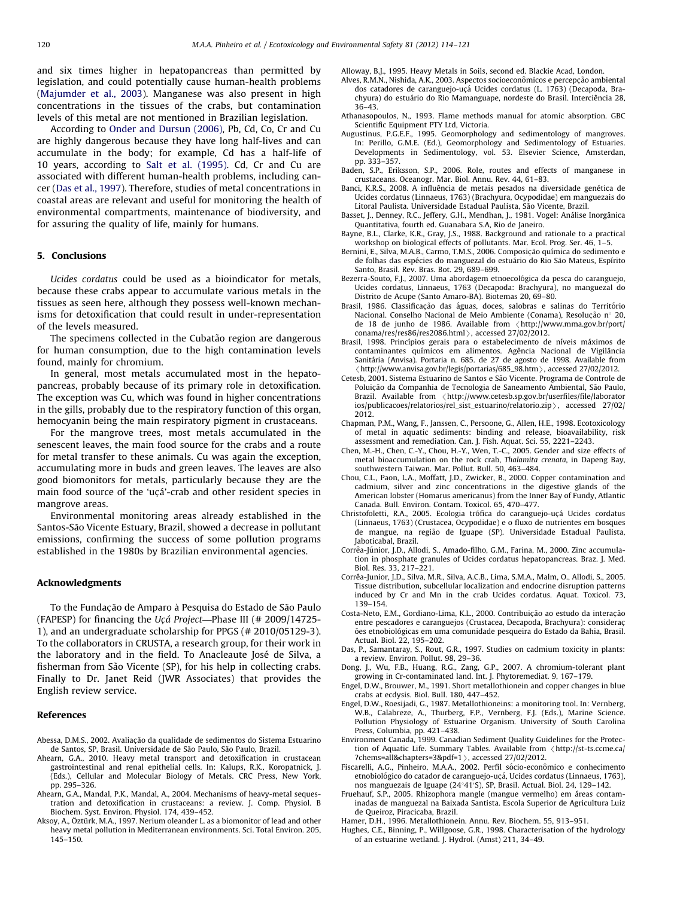<span id="page-6-0"></span>and six times higher in hepatopancreas than permitted by legislation, and could potentially cause human-health problems ([Majumder et al., 2003\)](#page-7-0). Manganese was also present in high concentrations in the tissues of the crabs, but contamination levels of this metal are not mentioned in Brazilian legislation.

According to [Onder and Dursun \(2006\),](#page-7-0) Pb, Cd, Co, Cr and Cu are highly dangerous because they have long half-lives and can accumulate in the body; for example, Cd has a half-life of 10 years, according to [Salt et al. \(1995\)](#page-7-0). Cd, Cr and Cu are associated with different human-health problems, including cancer (Das et al., 1997). Therefore, studies of metal concentrations in coastal areas are relevant and useful for monitoring the health of environmental compartments, maintenance of biodiversity, and for assuring the quality of life, mainly for humans.

## 5. Conclusions

Ucides cordatus could be used as a bioindicator for metals, because these crabs appear to accumulate various metals in the tissues as seen here, although they possess well-known mechanisms for detoxification that could result in under-representation of the levels measured.

The specimens collected in the Cubatão region are dangerous for human consumption, due to the high contamination levels found, mainly for chromium.

In general, most metals accumulated most in the hepatopancreas, probably because of its primary role in detoxification. The exception was Cu, which was found in higher concentrations in the gills, probably due to the respiratory function of this organ, hemocyanin being the main respiratory pigment in crustaceans.

For the mangrove trees, most metals accumulated in the senescent leaves, the main food source for the crabs and a route for metal transfer to these animals. Cu was again the exception, accumulating more in buds and green leaves. The leaves are also good biomonitors for metals, particularly because they are the main food source of the 'uçá'-crab and other resident species in mangrove areas.

Environmental monitoring areas already established in the Santos-Sao Vicente Estuary, Brazil, showed a decrease in pollutant ~ emissions, confirming the success of some pollution programs established in the 1980s by Brazilian environmental agencies.

## Acknowledgments

To the Fundação de Amparo à Pesquisa do Estado de São Paulo (FAPESP) for financing the Ucá Project—Phase III (# 2009/14725-1), and an undergraduate scholarship for PPGS (# 2010/05129-3). To the collaborators in CRUSTA, a research group, for their work in the laboratory and in the field. To Anacleaute José de Silva, a fisherman from São Vicente (SP), for his help in collecting crabs. Finally to Dr. Janet Reid (JWR Associates) that provides the English review service.

#### References

- Abessa, D.M.S., 2002. Avaliação da qualidade de sedimentos do Sistema Estuarino de Santos, SP, Brasil. Universidade de São Paulo, São Paulo, Brazil.
- Ahearn, G.A., 2010. Heavy metal transport and detoxification in crustacean gastrointestinal and renal epithelial cells. In: Kalups, R.K., Koropatnick, J. (Eds.), Cellular and Molecular Biology of Metals. CRC Press, New York, pp. 295–326.
- Ahearn, G.A., Mandal, P.K., Mandal, A., 2004. Mechanisms of heavy-metal sequestration and detoxification in crustaceans: a review. J. Comp. Physiol. B Biochem. Syst. Environ. Physiol. 174, 439–452.
- Aksoy, A., Öztürk, M.A., 1997. Nerium oleander L. as a biomonitor of lead and other heavy metal pollution in Mediterranean environments. Sci. Total Environ. 205, 145–150.

Alloway, B.J., 1995. Heavy Metals in Soils, second ed. Blackie Acad, London.

- Alves, R.M.N., Nishida, A.K., 2003. Aspectos socioeconômicos e percepção ambiental dos catadores de caranguejo-uçá Ucides cordatus (L. 1763) (Decapoda, Brachyura) do estuário do Rio Mamanguape, nordeste do Brasil. Interciência 28, 36–43.
- Athanasopoulos, N., 1993. Flame methods manual for atomic absorption. GBC Scientific Equipment PTY Ltd, Victoria.
- Augustinus, P.G.E.F., 1995. Geomorphology and sedimentology of mangroves. In: Perillo, G.M.E. (Ed.), Geomorphology and Sedimentology of Estuaries. Developments in Sedimentology, vol. 53. Elsevier Science, Amsterdan, pp. 333–357.
- Baden, S.P., Eriksson, S.P., 2006. Role, routes and effects of manganese in crustaceans. Oceanogr. Mar. Biol. Annu. Rev. 44, 61–83.
- Banci, K.R.S., 2008. A influência de metais pesados na diversidade genética de Ucides cordatus (Linnaeus, 1763) (Brachyura, Ocypodidae) em manguezais do Litoral Paulista. Universidade Estadual Paulista, São Vicente, Brazil.
- Basset, J., Denney, R.C., Jeffery, G.H., Mendhan, J., 1981. Vogel: Análise Inorgânica Quantitativa, fourth ed. Guanabara S.A, Rio de Janeiro.
- Bayne, B.L., Clarke, K.R., Gray, J.S., 1988. Background and rationale to a practical workshop on biological effects of pollutants. Mar. Ecol. Prog. Ser. 46, 1–5.<br>Bernini, E., Silva, M.A.B., Carmo, T.M.S., 2006. Composição química do sedimento e
- de folhas das espécies do manguezal do estuário do Rio São Mateus, Espírito Santo, Brasil. Rev. Bras. Bot. 29, 689–699.
- Bezerra-Souto, F.J., 2007. Uma abordagem etnoecológica da pesca do caranguejo, Ucides cordatus, Linnaeus, 1763 (Decapoda: Brachyura), no manguezal do Distrito de Acupe (Santo Amaro-BA). Biotemas 20, 69–80.
- Brasil, 1986. Classificação das águas, doces, salobras e salinas do Território Nacional. Conselho Nacional de Meio Ambiente (Conama), Resolução n° 20. de 18 de junho de 1986. Available from  $\langle$ [http://www.mma.gov.br/port/](http://www.mma.gov.br/port/conama/res/res86/res2086.html) [conama/res/res86/res2086.html](http://www.mma.gov.br/port/conama/res/res86/res2086.html) $\rangle$ , accessed 27/02/2012.
- Brasil, 1998. Princípios gerais para o estabelecimento de níveis máximos de contaminantes químicos em alimentos. Agência Nacional de Vigilância<br>Sanitária (Anvisa). Portaria n. 685. de 27 de agosto de 1998. Available from  $\langle$  [http://www.anvisa.gov.br/legis/portarias/685\\_98.htm](http://www.anvisa.gov.br/legis/portarias/685_98.htm)  $\rangle$ , accessed 27/02/2012.
- Cetesb, 2001. Sistema Estuarino de Santos e Sao Vicente. Programa de Controle de ~ Poluição da Companhia de Tecnologia de Saneamento Ambiental, São Paulo, Brazil. Available from <[http://www.cetesb.sp.gov.br/userfiles/file/laborator](http://www.cetesb.sp.gov.br/userfiles/file/laboratorios/publicacoes/relatorios/rel_sist_estuarino/relatorio.zip) [ios/publicacoes/relatorios/rel\\_sist\\_estuarino/relatorio.zip](http://www.cetesb.sp.gov.br/userfiles/file/laboratorios/publicacoes/relatorios/rel_sist_estuarino/relatorio.zip) >, accessed 27/02/ 2012.
- Chapman, P.M., Wang, F., Janssen, C., Persoone, G., Allen, H.E., 1998. Ecotoxicology of metal in aquatic sediments: binding and release, bioavailability, risk assessment and remediation. Can. J. Fish. Aquat. Sci. 55, 2221–2243.
- Chen, M.-H., Chen, C.-Y., Chou, H.-Y., Wen, T.-C., 2005. Gender and size effects of metal bioaccumulation on the rock crab, Thalamita crenata, in Dapeng Bay, southwestern Taiwan. Mar. Pollut. Bull. 50, 463–484.
- Chou, C.L., Paon, L.A., Moffatt, J.D., Zwicker, B., 2000. Copper contamination and cadmium, silver and zinc concentrations in the digestive glands of the American lobster (Homarus americanus) from the Inner Bay of Fundy, Atlantic Canada. Bull. Environ. Contam. Toxicol. 65, 470–477.
- Christofoletti, R.A., 2005. Ecologia trófica do caranguejo-uçá Ucides cordatus (Linnaeus, 1763) (Crustacea, Ocypodidae) e o fluxo de nutrientes em bosques de mangue, na regiao de Iguape (SP). Universidade Estadual Paulista, ~ Jaboticabal, Brazil.
- Corrêa-Júnior, J.D., Allodi, S., Amado-filho, G.M., Farina, M., 2000. Zinc accumulation in phosphate granules of Ucides cordatus hepatopancreas. Braz. J. Med. Biol. Res. 33, 217–221.
- Corrêa-Junior, J.D., Silva, M.R., Silva, A.C.B., Lima, S.M.A., Malm, O., Allodi, S., 2005. Tissue distribution, subcellular localization and endocrine disruption patterns induced by Cr and Mn in the crab Ucides cordatus. Aquat. Toxicol. 73, 139–154.
- Costa-Neto, E.M., Gordiano-Lima, K.L., 2000. Contribuição ao estudo da interação entre pescadores e caranguejos (Crustacea, Decapoda, Brachyura): considerac- $\tilde{\text{o}}$ es etnobiológicas em uma comunidade pesqueira do Estado da Bahia, Brasil. Actual. Biol. 22, 195–202.
- Das, P., Samantaray, S., Rout, G.R., 1997. Studies on cadmium toxicity in plants: a review. Environ. Pollut. 98, 29–36.
- Dong, J., Wu, F.B., Huang, R.G., Zang, G.P., 2007. A chromium-tolerant plant growing in Cr-contaminated land. Int. J. Phytoremediat. 9, 167–179.
- Engel, D.W., Brouwer, M., 1991. Short metallothionein and copper changes in blue crabs at ecdysis. Biol. Bull. 180, 447–452.
- Engel, D.W., Roesijadi, G., 1987. Metallothioneins: a monitoring tool. In: Vernberg, W.B., Calabreze, A., Thurberg, F.P., Vernberg, F.J. (Eds.), Marine Science. Pollution Physiology of Estuarine Organism. University of South Carolina Press, Columbia, pp. 421–438.
- Environment Canada, 1999. Canadian Sediment Quality Guidelines for the Protection of Aquatic Life. Summary Tables. Available from  $\langle$  [http://st-ts.ccme.ca/](http://st-ts.ccme.ca/?chems=all&chapters=3&pdf=1) [?chems=all](http://st-ts.ccme.ca/?chems=all&chapters=3&pdf=1)&[chapters=3&pdf=1](http://st-ts.ccme.ca/?chems=all&chapters=3&pdf=1) $\rangle$ , accessed 27/02/2012.
- Fiscarelli, A.G., Pinheiro, M.A.A., 2002. Perfil sócio-econômico e conhecimento etnobiológico do catador de caranguejo-uçá, Ucides cordatus (Linnaeus, 1763), nos manguezais de Iguape (24°41'S), SP, Brasil. Actual. Biol. 24, 129-142.
- Fruehauf, S.P., 2005. Rhizophora mangle (mangue vermelho) em áreas contaminadas de manguezal na Baixada Santista. Escola Superior de Agricultura Luiz de Queiroz, Piracicaba, Brazil.
- Hamer, D.H., 1996. Metallothionein. Annu. Rev. Biochem. 55, 913–951.
- Hughes, C.E., Binning, P., Willgoose, G.R., 1998. Characterisation of the hydrology of an estuarine wetland. J. Hydrol. (Amst) 211, 34–49.